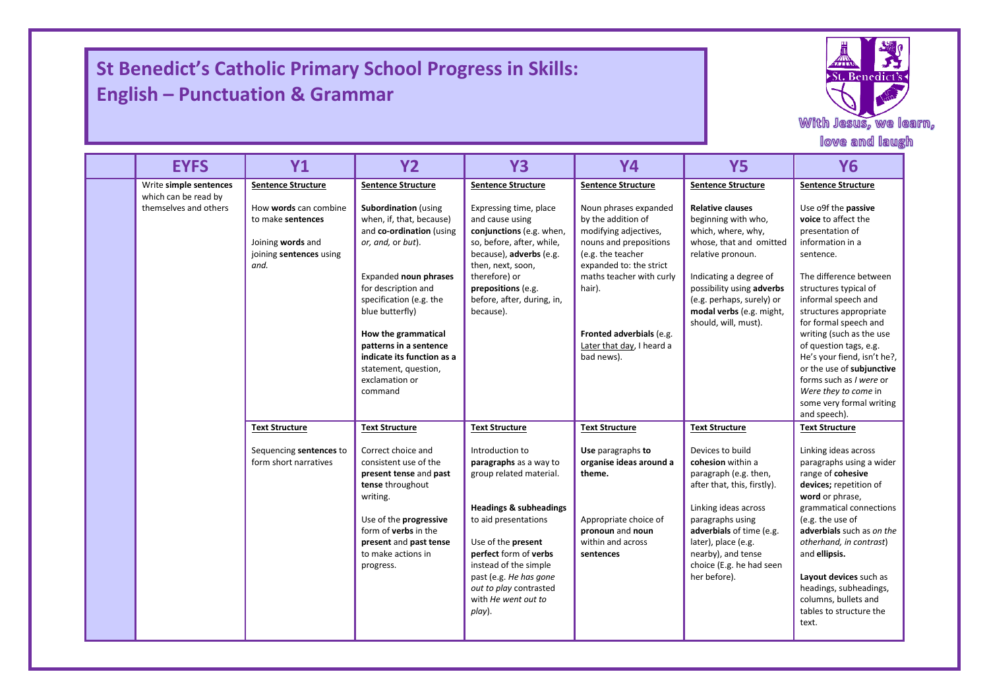## **St Benedict's Catholic Primary School Progress in Skills: English – Punctuation & Grammar**

I

I



|                                               |                                                                                                    |                                                                                                                                                                                                                                                                                                                                            |                                                                                                                                                                                                                                                                                                |                                                                                                                                                                                                                                                             |                                                                                                                                                                                                                                                                | love and laugh                                                                                                                                                                                                                                                                                                                                                                                                                               |
|-----------------------------------------------|----------------------------------------------------------------------------------------------------|--------------------------------------------------------------------------------------------------------------------------------------------------------------------------------------------------------------------------------------------------------------------------------------------------------------------------------------------|------------------------------------------------------------------------------------------------------------------------------------------------------------------------------------------------------------------------------------------------------------------------------------------------|-------------------------------------------------------------------------------------------------------------------------------------------------------------------------------------------------------------------------------------------------------------|----------------------------------------------------------------------------------------------------------------------------------------------------------------------------------------------------------------------------------------------------------------|----------------------------------------------------------------------------------------------------------------------------------------------------------------------------------------------------------------------------------------------------------------------------------------------------------------------------------------------------------------------------------------------------------------------------------------------|
| <b>EYFS</b>                                   | <b>Y1</b>                                                                                          | <b>Y2</b>                                                                                                                                                                                                                                                                                                                                  | <b>Y3</b>                                                                                                                                                                                                                                                                                      | <b>Y4</b>                                                                                                                                                                                                                                                   | <b>Y5</b>                                                                                                                                                                                                                                                      | <b>Y6</b>                                                                                                                                                                                                                                                                                                                                                                                                                                    |
| Write simple sentences                        | <b>Sentence Structure</b>                                                                          | <b>Sentence Structure</b>                                                                                                                                                                                                                                                                                                                  | <b>Sentence Structure</b>                                                                                                                                                                                                                                                                      | <b>Sentence Structure</b>                                                                                                                                                                                                                                   | <b>Sentence Structure</b>                                                                                                                                                                                                                                      | <b>Sentence Structure</b>                                                                                                                                                                                                                                                                                                                                                                                                                    |
| which can be read by<br>themselves and others | How words can combine<br>to make sentences<br>Joining words and<br>joining sentences using<br>and. | <b>Subordination</b> (using<br>when, if, that, because)<br>and co-ordination (using<br>or, and, or but).<br>Expanded noun phrases<br>for description and<br>specification (e.g. the<br>blue butterfly)<br>How the grammatical<br>patterns in a sentence<br>indicate its function as a<br>statement, question,<br>exclamation or<br>command | Expressing time, place<br>and cause using<br>conjunctions (e.g. when,<br>so, before, after, while,<br>because), adverbs (e.g.<br>then, next, soon,<br>therefore) or<br>prepositions (e.g.<br>before, after, during, in,<br>because).                                                           | Noun phrases expanded<br>by the addition of<br>modifying adjectives,<br>nouns and prepositions<br>(e.g. the teacher<br>expanded to: the strict<br>maths teacher with curly<br>hair).<br>Fronted adverbials (e.g.<br>Later that day, I heard a<br>bad news). | <b>Relative clauses</b><br>beginning with who,<br>which, where, why,<br>whose, that and omitted<br>relative pronoun.<br>Indicating a degree of<br>possibility using adverbs<br>(e.g. perhaps, surely) or<br>modal verbs (e.g. might,<br>should, will, must).   | Use o9f the passive<br>voice to affect the<br>presentation of<br>information in a<br>sentence.<br>The difference between<br>structures typical of<br>informal speech and<br>structures appropriate<br>for formal speech and<br>writing (such as the use<br>of question tags, e.g.<br>He's your fiend, isn't he?,<br>or the use of subjunctive<br>forms such as I were or<br>Were they to come in<br>some very formal writing<br>and speech). |
|                                               | <b>Text Structure</b>                                                                              | <b>Text Structure</b>                                                                                                                                                                                                                                                                                                                      | <b>Text Structure</b>                                                                                                                                                                                                                                                                          | <b>Text Structure</b>                                                                                                                                                                                                                                       | <b>Text Structure</b>                                                                                                                                                                                                                                          | <b>Text Structure</b>                                                                                                                                                                                                                                                                                                                                                                                                                        |
|                                               | Sequencing sentences to<br>form short narratives                                                   | Correct choice and<br>consistent use of the<br>present tense and past<br>tense throughout<br>writing.<br>Use of the progressive<br>form of <b>verbs</b> in the<br>present and past tense<br>to make actions in<br>progress.                                                                                                                | Introduction to<br>paragraphs as a way to<br>group related material.<br><b>Headings &amp; subheadings</b><br>to aid presentations<br>Use of the present<br>perfect form of verbs<br>instead of the simple<br>past (e.g. He has gone<br>out to play contrasted<br>with He went out to<br>play). | Use paragraphs to<br>organise ideas around a<br>theme.<br>Appropriate choice of<br>pronoun and noun<br>within and across<br>sentences                                                                                                                       | Devices to build<br>cohesion within a<br>paragraph (e.g. then,<br>after that, this, firstly).<br>Linking ideas across<br>paragraphs using<br>adverbials of time (e.g.<br>later), place (e.g.<br>nearby), and tense<br>choice (E.g. he had seen<br>her before). | Linking ideas across<br>paragraphs using a wider<br>range of cohesive<br>devices; repetition of<br>word or phrase,<br>grammatical connections<br>(e.g. the use of<br>adverbials such as on the<br>otherhand, in contrast)<br>and ellipsis.<br>Layout devices such as<br>headings, subheadings,<br>columns, bullets and<br>tables to structure the<br>text.                                                                                   |